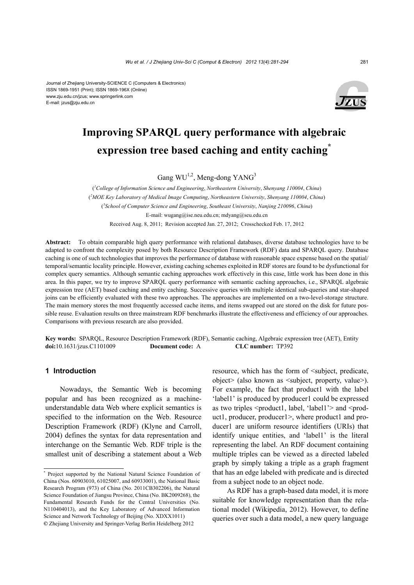

# **Improving SPARQL query performance with algebraic expression tree based caching and entity caching\***

Gang  $WU^{1,2}$ , Meng-dong YANG<sup>3</sup>

( *1 College of Information Science and Engineering*, *Northeastern University*, *Shenyang 110004*, *China*) ( *2 MOE Key Laboratory of Medical Image Computing*, *Northeastern University*, *Shenyang 110004*, *China*) ( *3 School of Computer Science and Engineering*, *Southeast University*, *Nanjing 210096*, *China*) E-mail: wugang@ise.neu.edu.cn; mdyang@seu.edu.cn Received Aug. 8, 2011; Revision accepted Jan. 27, 2012; Crosschecked Feb. 17, 2012

**Abstract:** To obtain comparable high query performance with relational databases, diverse database technologies have to be adapted to confront the complexity posed by both Resource Description Framework (RDF) data and SPARQL query. Database caching is one of such technologies that improves the performance of database with reasonable space expense based on the spatial/ temporal/semantic locality principle. However, existing caching schemes exploited in RDF stores are found to be dysfunctional for complex query semantics. Although semantic caching approaches work effectively in this case, little work has been done in this area. In this paper, we try to improve SPARQL query performance with semantic caching approaches, i.e., SPARQL algebraic expression tree (AET) based caching and entity caching. Successive queries with multiple identical sub-queries and star-shaped joins can be efficiently evaluated with these two approaches. The approaches are implemented on a two-level-storage structure. The main memory stores the most frequently accessed cache items, and items swapped out are stored on the disk for future possible reuse. Evaluation results on three mainstream RDF benchmarks illustrate the effectiveness and efficiency of our approaches. Comparisons with previous research are also provided.

**Key words:** SPARQL, Resource Description Framework (RDF), Semantic caching, Algebraic expression tree (AET), Entity **doi:**10.1631/jzus.C1101009 **Document code:** A **CLC number:** TP392

# **1 Introduction**

Nowadays, the Semantic Web is becoming popular and has been recognized as a machineunderstandable data Web where explicit semantics is specified to the information on the Web. Resource Description Framework (RDF) (Klyne and Carroll, 2004) defines the syntax for data representation and interchange on the Semantic Web. RDF triple is the smallest unit of describing a statement about a Web

<sup>\*</sup> Project supported by the National Natural Science Foundation of China (Nos. 60903010, 61025007, and 60933001), the National Basic Research Program (973) of China (No. 2011CB302206), the Natural Science Foundation of Jiangsu Province, China (No. BK2009268), the Fundamental Research Funds for the Central Universities (No. N110404013), and the Key Laboratory of Advanced Information Science and Network Technology of Beijing (No. XDXX1011) **©** Zhejiang University and Springer-Verlag Berlin Heidelberg 2012

resource, which has the form of  $\leq$ subject, predicate, object> (also known as <subject, property, value>). For example, the fact that product1 with the label 'label1' is produced by producer1 could be expressed as two triples  $\leq$  product1, label, 'label1' $>$  and  $\leq$  product1, producer, producer1>, where product1 and producer1 are uniform resource identifiers (URIs) that identify unique entities, and 'label1' is the literal representing the label. An RDF document containing multiple triples can be viewed as a directed labeled graph by simply taking a triple as a graph fragment that has an edge labeled with predicate and is directed from a subject node to an object node.

As RDF has a graph-based data model, it is more suitable for knowledge representation than the relational model (Wikipedia, 2012). However, to define queries over such a data model, a new query language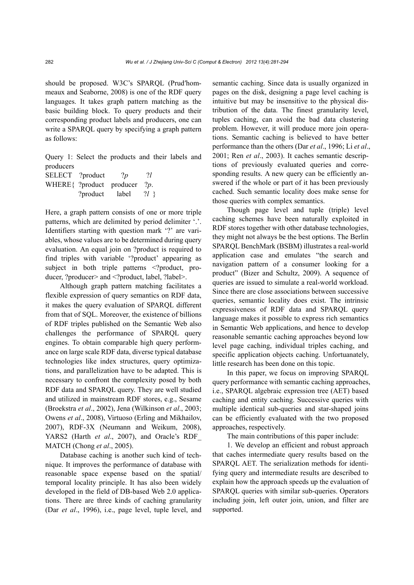should be proposed. W3C's SPARQL (Prud′hommeaux and Seaborne, 2008) is one of the RDF query languages. It takes graph pattern matching as the basic building block. To query products and their corresponding product labels and producers, one can write a SPARQL query by specifying a graph pattern as follows:

Query 1: Select the products and their labels and producers

| SELECT ?product |                 | ?p                                        | $\mathcal{U}$ |
|-----------------|-----------------|-------------------------------------------|---------------|
|                 |                 | WHERE $\{$ ?product producer ? <i>p</i> . |               |
|                 | ?product label? |                                           | $2l \;$       |

Here, a graph pattern consists of one or more triple patterns, which are delimited by period delimiter '.'. Identifiers starting with question mark '?' are variables, whose values are to be determined during query evaluation. An equal join on ?product is required to find triples with variable '?product' appearing as subject in both triple patterns <?product, producer, ?producer> and <?product, label, ?label>.

Although graph pattern matching facilitates a flexible expression of query semantics on RDF data, it makes the query evaluation of SPARQL different from that of SQL. Moreover, the existence of billions of RDF triples published on the Semantic Web also challenges the performance of SPARQL query engines. To obtain comparable high query performance on large scale RDF data, diverse typical database technologies like index structures, query optimizations, and parallelization have to be adapted. This is necessary to confront the complexity posed by both RDF data and SPARQL query. They are well studied and utilized in mainstream RDF stores, e.g., Sesame (Broekstra *et al*., 2002), Jena (Wilkinson *et al*., 2003; Owens *et al*., 2008), Virtuoso (Erling and Mikhailov, 2007), RDF-3X (Neumann and Weikum, 2008), YARS2 (Harth *et al*., 2007), and Oracle's RDF\_ MATCH (Chong *et al*., 2005).

Database caching is another such kind of technique. It improves the performance of database with reasonable space expense based on the spatial/ temporal locality principle. It has also been widely developed in the field of DB-based Web 2.0 applications. There are three kinds of caching granularity (Dar *et al*., 1996), i.e., page level, tuple level, and

semantic caching. Since data is usually organized in pages on the disk, designing a page level caching is intuitive but may be insensitive to the physical distribution of the data. The finest granularity level, tuples caching, can avoid the bad data clustering problem. However, it will produce more join operations. Semantic caching is believed to have better performance than the others (Dar *et al*., 1996; Li *et al*., 2001; Ren *et al*., 2003). It caches semantic descriptions of previously evaluated queries and corresponding results. A new query can be efficiently answered if the whole or part of it has been previously cached. Such semantic locality does make sense for those queries with complex semantics.

Though page level and tuple (triple) level caching schemes have been naturally exploited in RDF stores together with other database technologies, they might not always be the best options. The Berlin SPARQL BenchMark (BSBM) illustrates a real-world application case and emulates "the search and navigation pattern of a consumer looking for a product" (Bizer and Schultz, 2009). A sequence of queries are issued to simulate a real-world workload. Since there are close associations between successive queries, semantic locality does exist. The intrinsic expressiveness of RDF data and SPARQL query language makes it possible to express rich semantics in Semantic Web applications, and hence to develop reasonable semantic caching approaches beyond low level page caching, individual triples caching, and specific application objects caching. Unfortuanately, little research has been done on this topic.

In this paper, we focus on improving SPARQL query performance with semantic caching approaches, i.e., SPARQL algebraic expression tree (AET) based caching and entity caching. Successive queries with multiple identical sub-queries and star-shaped joins can be efficiently evaluated with the two proposed approaches, respectively.

The main contributions of this paper include:

1. We develop an efficient and robust approach that caches intermediate query results based on the SPARQL AET. The serialization methods for identifying query and intermediate results are described to explain how the approach speeds up the evaluation of SPARQL queries with similar sub-queries. Operators including join, left outer join, union, and filter are supported.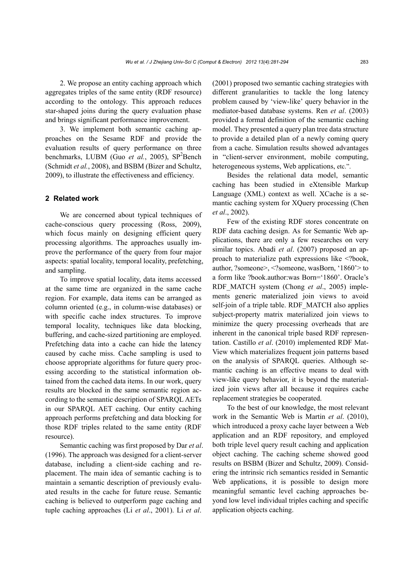2. We propose an entity caching approach which aggregates triples of the same entity (RDF resource) according to the ontology. This approach reduces star-shaped joins during the query evaluation phase and brings significant performance improvement.

3. We implement both semantic caching approaches on the Sesame RDF and provide the evaluation results of query performance on three benchmarks, LUBM (Guo *et al.*, 2005), SP<sup>2</sup>Bench (Schmidt *et al.*, 2008), and BSBM (Bizer and Schultz, 2009), to illustrate the effectiveness and efficiency.

#### **2 Related work**

We are concerned about typical techniques of cache-conscious query processing (Ross, 2009), which focus mainly on designing efficient query processing algorithms. The approaches usually improve the performance of the query from four major aspects: spatial locality, temporal locality, prefetching, and sampling.

To improve spatial locality, data items accessed at the same time are organized in the same cache region. For example, data items can be arranged as column oriented (e.g., in column-wise databases) or with specific cache index structures. To improve temporal locality, techniques like data blocking, buffering, and cache-sized partitioning are employed. Prefetching data into a cache can hide the latency caused by cache miss. Cache sampling is used to choose appropriate algorithms for future query processing according to the statistical information obtained from the cached data items. In our work, query results are blocked in the same semantic region according to the semantic description of SPARQL AETs in our SPARQL AET caching. Our entity caching approach performs prefetching and data blocking for those RDF triples related to the same entity (RDF resource).

Semantic caching was first proposed by Dar *et al*. (1996). The approach was designed for a client-server database, including a client-side caching and replacement. The main idea of semantic caching is to maintain a semantic description of previously evaluated results in the cache for future reuse. Semantic caching is believed to outperform page caching and tuple caching approaches (Li *et al*., 2001). Li *et al*.

(2001) proposed two semantic caching strategies with different granularities to tackle the long latency problem caused by 'view-like' query behavior in the mediator-based database systems. Ren *et al*. (2003) provided a formal definition of the semantic caching model. They presented a query plan tree data structure to provide a detailed plan of a newly coming query from a cache. Simulation results showed advantages in "client-server environment, mobile computing, heterogeneous systems, Web applications, etc.".

Besides the relational data model, semantic caching has been studied in eXtensible Markup Language (XML) context as well. XCache is a semantic caching system for XQuery processing (Chen *et al*., 2002).

Few of the existing RDF stores concentrate on RDF data caching design. As for Semantic Web applications, there are only a few researches on very similar topics. Abadi *et al*. (2007) proposed an approach to materialize path expressions like <?book, author, ?someone>, <?someone, wasBorn, '1860'> to a form like ?book.author:was Born='1860'. Oracle's RDF\_MATCH system (Chong *et al*., 2005) implements generic materialized join views to avoid self-join of a triple table. RDF\_MATCH also applies subject-property matrix materialized join views to minimize the query processing overheads that are inherent in the canonical triple based RDF representation. Castillo *et al*. (2010) implemented RDF Mat-View which materializes frequent join patterns based on the analysis of SPARQL queries. Although semantic caching is an effective means to deal with view-like query behavior, it is beyond the materialized join views after all because it requires cache replacement strategies be cooperated.

To the best of our knowledge, the most relevant work in the Semantic Web is Martin *et al*. (2010), which introduced a proxy cache layer between a Web application and an RDF repository, and employed both triple level query result caching and application object caching. The caching scheme showed good results on BSBM (Bizer and Schultz, 2009). Considering the intrinsic rich semantics resided in Semantic Web applications, it is possible to design more meaningful semantic level caching approaches beyond low level individual triples caching and specific application objects caching.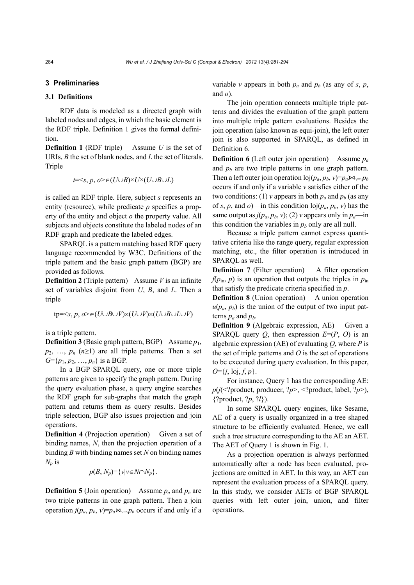#### **3 Preliminaries**

#### **3.1 Definitions**

RDF data is modeled as a directed graph with labeled nodes and edges, in which the basic element is the RDF triple. Definition 1 gives the formal definition.

**Definition 1** (RDF triple) Assume *U* is the set of URIs, *B* the set of blank nodes, and *L* the set of literals. Triple

$$
t = \langle s, p, o \rangle \in (U \cup B) \times U \times (U \cup B \cup L)
$$

is called an RDF triple. Here, subject *s* represents an entity (resource), while predicate *p* specifies a property of the entity and object *o* the property value. All subjects and objects constitute the labeled nodes of an RDF graph and predicate the labeled edges.

SPARQL is a pattern matching based RDF query language recommended by W3C. Definitions of the triple pattern and the basic graph pattern (BGP) are provided as follows.

**Definition 2** (Triple pattern) Assume *V* is an infinite set of variables disjoint from *U*, *B*, and *L*. Then a triple

tp=
$$
s, p, o \geq (U \cup B \cup V) \times (U \cup V) \times (U \cup B \cup L \cup V)
$$

is a triple pattern.

**Definition 3** (Basic graph pattern, BGP) Assume *p*1,  $p_2, \ldots, p_n$  ( $n \geq 1$ ) are all triple patterns. Then a set  $G = \{p_1, p_2, ..., p_n\}$  is a BGP.

In a BGP SPARQL query, one or more triple patterns are given to specify the graph pattern. During the query evaluation phase, a query engine searches the RDF graph for sub-graphs that match the graph pattern and returns them as query results. Besides triple selection, BGP also issues projection and join operations.

**Definition 4** (Projection operation) Given a set of binding names, *N*, then the projection operation of a binding *B* with binding names set *N* on binding names  $N_p$  is

$$
p(B, N_p) = \{v | v \in N \cap N_p\}.
$$

**Definition 5** (Join operation) Assume  $p_a$  and  $p_b$  are two triple patterns in one graph pattern. Then a join operation  $j(p_a, p_b, v) = p_a \Join_{v=v} p_b$  occurs if and only if a variable *v* appears in both  $p_a$  and  $p_b$  (as any of *s*,  $p$ , and *o*).

The join operation connects multiple triple patterns and divides the evaluation of the graph pattern into multiple triple pattern evaluations. Besides the join operation (also known as equi-join), the left outer join is also supported in SPARQL, as defined in Definition 6.

**Definition 6** (Left outer join operation) Assume *pa* and  $p_b$  are two triple patterns in one graph pattern. Then a left outer join operation  $\log(p_a, p_b, v) = p_a \Join_{v=v} p_b$ occurs if and only if a variable *v* satisfies either of the two conditions: (1) *v* appears in both  $p_a$  and  $p_b$  (as any of *s*, *p*, and *o*)—in this condition  $\log(p_a, p_b, v)$  has the same output as  $j(p_a, p_b, v)$ ; (2) *v* appears only in  $p_a$ —in this condition the variables in  $p<sub>b</sub>$  only are all null.

Because a triple pattern cannot express quantitative criteria like the range query, regular expression matching, etc., the filter operation is introduced in SPARQL as well.

**Definition 7** (Filter operation) A filter operation  $f(p_{in}, p)$  is an operation that outputs the triples in  $p_{in}$ that satisfy the predicate criteria specified in *p*.

**Definition 8** (Union operation) A union operation  $u(p_a, p_b)$  is the union of the output of two input patterns  $p_a$  and  $p_b$ .

**Definition 9** (Algebraic expression, AE) Given a SPARQL query  $Q$ , then expression  $E=(P, O)$  is an algebraic expression (AE) of evaluating *Q*, where *P* is the set of triple patterns and *O* is the set of operations to be executed during query evaluation. In this paper,  $O = \{j, \text{loj}, f, p\}.$ 

For instance, Query 1 has the corresponding AE:  $p(j(\leq?product, producer, ?p>, \leq?product, label, ?p),$ {?product, ?*p*, ?*l*}).

In some SPARQL query engines, like Sesame, AE of a query is usually organized in a tree shaped structure to be efficiently evaluated. Hence, we call such a tree structure corresponding to the AE an AET. The AET of Query 1 is shown in Fig. 1.

As a projection operation is always performed automatically after a node has been evaluated, projections are omitted in AET. In this way, an AET can represent the evaluation process of a SPARQL query. In this study, we consider AETs of BGP SPARQL queries with left outer join, union, and filter operations.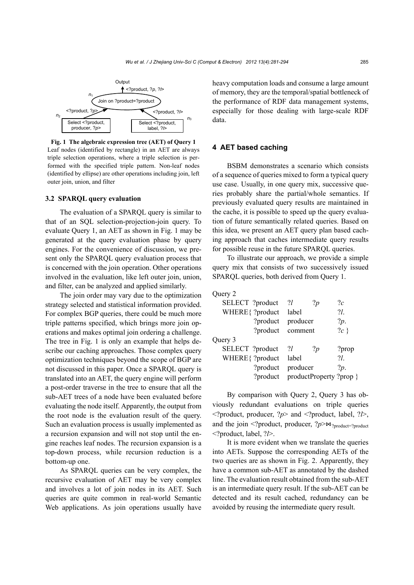

**Fig. 1 The algebraic expression tree (AET) of Query 1** Leaf nodes (identified by rectangle) in an AET are always triple selection operations, where a triple selection is performed with the specified triple pattern. Non-leaf nodes (identified by ellipse) are other operations including join, left outer join, union, and filter

#### **3.2 SPARQL query evaluation**

The evaluation of a SPARQL query is similar to that of an SQL selection-projection-join query. To evaluate Query 1, an AET as shown in Fig. 1 may be generated at the query evaluation phase by query engines. For the convenience of discussion, we present only the SPARQL query evaluation process that is concerned with the join operation. Other operations involved in the evaluation, like left outer join, union, and filter, can be analyzed and applied similarly.

The join order may vary due to the optimization strategy selected and statistical information provided. For complex BGP queries, there could be much more triple patterns specified, which brings more join operations and makes optimal join ordering a challenge. The tree in Fig. 1 is only an example that helps describe our caching approaches. Those complex query optimization techniques beyond the scope of BGP are not discussed in this paper. Once a SPARQL query is translated into an AET, the query engine will perform a post-order traverse in the tree to ensure that all the sub-AET trees of a node have been evaluated before evaluating the node itself. Apparently, the output from the root node is the evaluation result of the query. Such an evaluation process is usually implemented as a recursion expansion and will not stop until the engine reaches leaf nodes. The recursion expansion is a top-down process, while recursion reduction is a bottom-up one.

As SPARQL queries can be very complex, the recursive evaluation of AET may be very complex and involves a lot of join nodes in its AET. Such queries are quite common in real-world Semantic Web applications. As join operations usually have heavy computation loads and consume a large amount of memory, they are the temporal/spatial bottleneck of the performance of RDF data management systems, especially for those dealing with large-scale RDF data.

#### **4 AET based caching**

BSBM demonstrates a scenario which consists of a sequence of queries mixed to form a typical query use case. Usually, in one query mix, successive queries probably share the partial/whole semantics. If previously evaluated query results are maintained in the cache, it is possible to speed up the query evaluation of future semantically related queries. Based on this idea, we present an AET query plan based caching approach that caches intermediate query results for possible reuse in the future SPARQL queries.

To illustrate our approach, we provide a simple query mix that consists of two successively issued SPARQL queries, both derived from Query 1.

| Query 2          |                         |                       |  |
|------------------|-------------------------|-----------------------|--|
| SELECT ?product  | 2p<br>2l                | $\gamma_c$            |  |
| WHERE { ?product | label                   | ?l.                   |  |
| ?product         | producer                | ?p.                   |  |
| ?product         | comment                 | $2c$ }                |  |
| Query 3          |                         |                       |  |
| SELECT ?product  | 2l<br>?p                | ?prop                 |  |
| WHERE { ?product | label                   | $\mathcal{U}_{\cdot}$ |  |
| ?product         | producer                | ?p.                   |  |
| ?product?        | productProperty ?prop } |                       |  |

By comparison with Query 2, Query 3 has obviously redundant evaluations on triple queries <?product, producer, ?*p*> and <?product, label, ?*l*>, and the join  $\leq$ ?product, producer, ?*p* $\geq \mathsf{M}_{?product='product}$ <?product, label, ?*l*>.

It is more evident when we translate the queries into AETs. Suppose the corresponding AETs of the two queries are as shown in Fig. 2. Apparently, they have a common sub-AET as annotated by the dashed line. The evaluation result obtained from the sub-AET is an intermediate query result. If the sub-AET can be detected and its result cached, redundancy can be avoided by reusing the intermediate query result.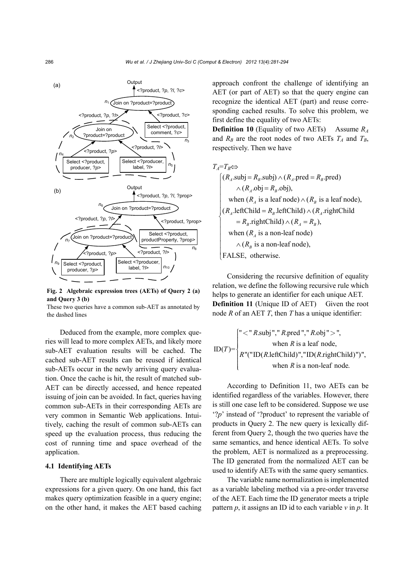

**Fig. 2 Algebraic expression trees (AETs) of Query 2 (a) and Query 3 (b)** 

These two queries have a common sub-AET as annotated by the dashed lines

Deduced from the example, more complex queries will lead to more complex AETs, and likely more sub-AET evaluation results will be cached. The cached sub-AET results can be reused if identical sub-AETs occur in the newly arriving query evaluation. Once the cache is hit, the result of matched sub-AET can be directly accessed, and hence repeated issuing of join can be avoided. In fact, queries having common sub-AETs in their corresponding AETs are very common in Semantic Web applications. Intuitively, caching the result of common sub-AETs can speed up the evaluation process, thus reducing the cost of running time and space overhead of the application.

#### **4.1 Identifying AETs**

There are multiple logically equivalent algebraic expressions for a given query. On one hand, this fact makes query optimization feasible in a query engine; on the other hand, it makes the AET based caching approach confront the challenge of identifying an AET (or part of AET) so that the query engine can recognize the identical AET (part) and reuse corresponding cached results. To solve this problem, we first define the equality of two AETs:

**Definition 10** (Equality of two AETs) Assume *RA* and  $R_B$  are the root nodes of two AETs  $T_A$  and  $T_B$ , respectively. Then we have

$$
T_A = T_B \Leftrightarrow
$$
\n
$$
\begin{cases}\n(R_A \cdot \text{subj} = R_B \cdot \text{subj}) \land (R_A \cdot \text{pred} = R_B \cdot \text{pred}) \\
\land (R_A \cdot \text{obj} = R_B \cdot \text{obj}), \\
\text{when } (R_A \text{ is a leaf node}) \land (R_B \text{ is a leaf node}), \\
(R_A \cdot \text{leftChild} = R_B \cdot \text{leftChild}) \land (R_A \cdot \text{rightChild}) \\
= R_B \cdot \text{rightChild} \land (R_A = R_B), \\
\text{when } (R_A \text{ is a non-leaf node}) \\
\land (R_B \text{ is a non-leaf node}), \\
\text{FALSE, otherwise.}\n\end{cases}
$$

Considering the recursive definition of equality relation, we define the following recursive rule which helps to generate an identifier for each unique AET. **Definition 11** (Unique ID of AET) Given the root node *R* of an AET *T*, then *T* has a unique identifier:

$$
ID(T) = \begin{cases} \n"lt; "R.subj", "R,pred", "Robj" >", \\ \n& when R is a leaf node, \\ \n& R"("ID(R.leftChild)", "ID(R.rightChild)"); \\ \n& when R is a non-leaf node. \n\end{cases}
$$

According to Definition 11, two AETs can be identified regardless of the variables. However, there is still one case left to be considered. Suppose we use '?*p*' instead of '?product' to represent the variable of products in Query 2. The new query is lexically different from Query 2, though the two queries have the same semantics, and hence identical AETs. To solve the problem, AET is normalized as a preprocessing. The ID generated from the normalized AET can be used to identify AETs with the same query semantics.

The variable name normalization is implemented as a variable labeling method via a pre-order traverse of the AET. Each time the ID generator meets a triple pattern  $p$ , it assigns an ID id to each variable  $v$  in  $p$ . It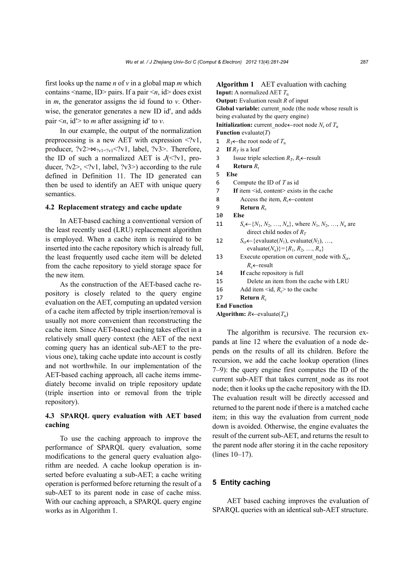first looks up the name *n* of *v* in a global map *m* which contains <name, ID> pairs. If a pair <*n*, id> does exist in *m*, the generator assigns the id found to *v*. Otherwise, the generator generates a new ID id', and adds pair  $\leq n$ , id' $>$  to *m* after assigning id' to *v*.

In our example, the output of the normalization preprocessing is a new AET with expression  $\leq$  v1, producer,  $?v2 > \mathsf{M}_{?v1=?v1}$  <?v1, label,  $?v3>$ . Therefore, the ID of such a normalized AET is  $J(\leq ?v1)$ , producer,  $2v2$ ,  $\leq$   $2v1$ , label,  $2v3$  according to the rule defined in Definition 11. The ID generated can then be used to identify an AET with unique query semantics.

#### **4.2 Replacement strategy and cache update**

In AET-based caching a conventional version of the least recently used (LRU) replacement algorithm is employed. When a cache item is required to be inserted into the cache repository which is already full, the least frequently used cache item will be deleted from the cache repository to yield storage space for the new item.

As the construction of the AET-based cache repository is closely related to the query engine evaluation on the AET, computing an updated version of a cache item affected by triple insertion/removal is usually not more convenient than reconstructing the cache item. Since AET-based caching takes effect in a relatively small query context (the AET of the next coming query has an identical sub-AET to the previous one), taking cache update into account is costly and not worthwhile. In our implementation of the AET-based caching approach, all cache items immediately become invalid on triple repository update (triple insertion into or removal from the triple repository).

# **4.3 SPARQL query evaluation with AET based caching**

To use the caching approach to improve the performance of SPARQL query evaluation, some modifications to the general query evaluation algorithm are needed. A cache lookup operation is inserted before evaluating a sub-AET; a cache writing operation is performed before returning the result of a sub-AET to its parent node in case of cache miss. With our caching approach, a SPARQL query engine works as in Algorithm 1.

**Algorithm 1** AET evaluation with caching **Input:** A normalized AET  $T_n$ **Output:** Evaluation result *R* of input Global variable: current node (the node whose result is being evaluated by the query engine) **Initialization:** current node $\leftarrow$ root node *N*<sub>r</sub> of *T*<sub>n</sub> **Function** evaluate(*T*) 1 *R<sub>T</sub>* $\leftarrow$  the root node of  $T_n$ 2 **If**  $R_T$  is a leaf 3 Issue triple selection  $R_T$ ,  $R_t \leftarrow$  result 4 **Return** *R*<sup>t</sup> 5 **Else**  6 Compute the ID of *T* as id 7 **If** item  $\le$ id, content $\ge$  exists in the cache 8 Access the item,  $R_c \leftarrow$  content 9 **Return** *R*<sup>c</sup> 10 **Else**  11  $S_c \leftarrow \{N_1, N_2, ..., N_n\}$ , where  $N_1, N_2, ..., N_n$  are direct child nodes of  $R_T$ 12  $S_{cr} \leftarrow \{ \text{evaluate}(N_1), \text{ evaluate}(N_2), \dots, \}$ evaluate $(N_n)$ }= ${R_1, R_2, ..., R_n}$ 13 Execute operation on current node with *S*<sub>cr</sub>, *R*<sub>c</sub>←result 14 **If** cache repository is full 15 Delete an item from the cache with LRU 16 Add item  $\leq$ id,  $R_c$  $>$  to the cache

17 **Return** *R*<sup>c</sup>

# **End Function**

**Algorithm:**  $R \leftarrow \text{evaluate}(T_n)$ 

The algorithm is recursive. The recursion expands at line 12 where the evaluation of a node depends on the results of all its children. Before the recursion, we add the cache lookup operation (lines 7–9): the query engine first computes the ID of the current sub-AET that takes current\_node as its root node; then it looks up the cache repository with the ID. The evaluation result will be directly accessed and returned to the parent node if there is a matched cache item; in this way the evaluation from current\_node down is avoided. Otherwise, the engine evaluates the result of the current sub-AET, and returns the result to the parent node after storing it in the cache repository (lines 10–17).

## **5 Entity caching**

AET based caching improves the evaluation of SPARQL queries with an identical sub-AET structure.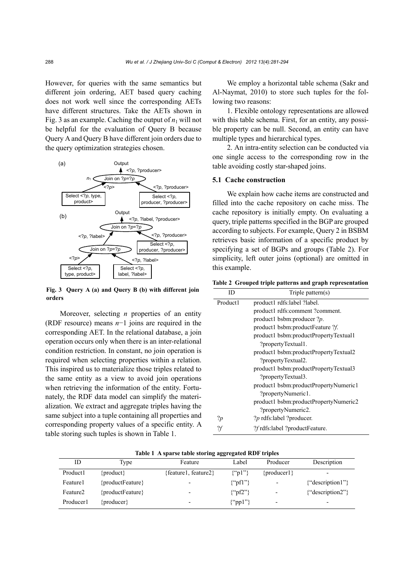However, for queries with the same semantics but different join ordering, AET based query caching does not work well since the corresponding AETs have different structures. Take the AETs shown in Fig. 3 as an example. Caching the output of  $n_1$  will not be helpful for the evaluation of Query B because Query A and Query B have different join orders due to the query optimization strategies chosen.



**Fig. 3 Query A (a) and Query B (b) with different join orders** 

Moreover, selecting *n* properties of an entity (RDF resource) means *n*−1 joins are required in the corresponding AET. In the relational database, a join operation occurs only when there is an inter-relational condition restriction. In constant, no join operation is required when selecting properties within a relation. This inspired us to materialize those triples related to the same entity as a view to avoid join operations when retrieving the information of the entity. Fortunately, the RDF data model can simplify the materialization. We extract and aggregate triples having the same subject into a tuple containing all properties and corresponding property values of a specific entity. A table storing such tuples is shown in Table 1.

We employ a horizontal table schema (Sakr and Al-Naymat, 2010) to store such tuples for the following two reasons:

1. Flexible ontology representations are allowed with this table schema. First, for an entity, any possible property can be null. Second, an entity can have multiple types and hierarchical types.

2. An intra-entity selection can be conducted via one single access to the corresponding row in the table avoiding costly star-shaped joins.

#### **5.1 Cache construction**

We explain how cache items are constructed and filled into the cache repository on cache miss. The cache repository is initially empty. On evaluating a query, triple patterns specified in the BGP are grouped according to subjects. For example, Query 2 in BSBM retrieves basic information of a specific product by specifying a set of BGPs and groups (Table 2). For simplicity, left outer joins (optional) are omitted in this example.

**Table 2 Grouped triple patterns and graph representation**

| ID       | Triple pattern $(s)$                  |  |  |
|----------|---------------------------------------|--|--|
| Product1 | product1 rdfs:label ?label.           |  |  |
|          | product1 rdfs:comment ?comment.       |  |  |
|          | product1 bsbm:producer ? <i>p</i> .   |  |  |
|          | product1 bsbm:productFeature ?f.      |  |  |
|          | product1 bsbm:productPropertyTextual1 |  |  |
|          | ?propertyTextual1.                    |  |  |
|          | product1 bsbm:productPropertyTextual2 |  |  |
|          | ?propertyTextual2.                    |  |  |
|          | product1 bsbm:productPropertyTextual3 |  |  |
|          | ?propertyTextual3.                    |  |  |
|          | product1 bsbm:productPropertyNumeric1 |  |  |
|          | ?propertyNumeric1.                    |  |  |
|          | product1 bsbm:productPropertyNumeric2 |  |  |
|          | ?propertyNumeric2.                    |  |  |
| ?p       | ? <i>p</i> rdfs:label ?producer.      |  |  |
| ?f       | ?f rdfs:label ?productFeature.        |  |  |

| ID                   | Type             | Feature                  | Label       | Producer       | Description      |
|----------------------|------------------|--------------------------|-------------|----------------|------------------|
| Product1             | { $product$ }    | {feature1, feature2}     | $\{``p1"\}$ | $\{product1\}$ | ۰                |
| Feature1             | {productFeature} | $\overline{\phantom{0}}$ | {"pf1"}     | $\,$           | {"description1"} |
| Feature <sub>2</sub> | {productFeature} | $\overline{\phantom{0}}$ | {"pf2"}     |                | {"description2"} |
| Producer1            | { $product$ }    |                          | {"pp1"}     | -              | -                |

**Table 1 A sparse table storing aggregated RDF triples**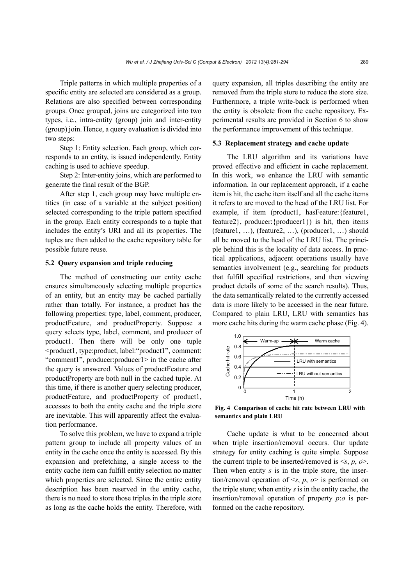Triple patterns in which multiple properties of a specific entity are selected are considered as a group. Relations are also specified between corresponding groups. Once grouped, joins are categorized into two types, i.e., intra-entity (group) join and inter-entity (group) join. Hence, a query evaluation is divided into two steps:

Step 1: Entity selection. Each group, which corresponds to an entity, is issued independently. Entity caching is used to achieve speedup.

Step 2: Inter-entity joins, which are performed to generate the final result of the BGP.

After step 1, each group may have multiple entities (in case of a variable at the subject position) selected corresponding to the triple pattern specified in the group. Each entity corresponds to a tuple that includes the entity's URI and all its properties. The tuples are then added to the cache repository table for possible future reuse.

## **5.2 Query expansion and triple reducing**

The method of constructing our entity cache ensures simultaneously selecting multiple properties of an entity, but an entity may be cached partially rather than totally. For instance, a product has the following properties: type, label, comment, producer, productFeature, and productProperty. Suppose a query selects type, label, comment, and producer of product1. Then there will be only one tuple <product1, type:product, label:"product1", comment: "comment1", producer:producer1> in the cache after the query is answered. Values of productFeature and productProperty are both null in the cached tuple. At this time, if there is another query selecting producer, productFeature, and productProperty of product1, accesses to both the entity cache and the triple store are inevitable. This will apparently affect the evaluation performance.

To solve this problem, we have to expand a triple pattern group to include all property values of an entity in the cache once the entity is accessed. By this expansion and prefetching, a single access to the entity cache item can fulfill entity selection no matter which properties are selected. Since the entire entity description has been reserved in the entity cache, there is no need to store those triples in the triple store as long as the cache holds the entity. Therefore, with query expansion, all triples describing the entity are removed from the triple store to reduce the store size. Furthermore, a triple write-back is performed when the entity is obsolete from the cache repository. Experimental results are provided in Section 6 to show the performance improvement of this technique.

#### **5.3 Replacement strategy and cache update**

The LRU algorithm and its variations have proved effective and efficient in cache replacement. In this work, we enhance the LRU with semantic information. In our replacement approach, if a cache item is hit, the cache item itself and all the cache items it refers to are moved to the head of the LRU list. For example, if item (product1, hasFeature: {feature1, feature2}, producer:{producer1}) is hit, then items (feature1, …), (feature2, …), (producer1, …) should all be moved to the head of the LRU list. The principle behind this is the locality of data access. In practical applications, adjacent operations usually have semantics involvement (e.g., searching for products that fulfill specified restrictions, and then viewing product details of some of the search results). Thus, the data semantically related to the currently accessed data is more likely to be accessed in the near future. Compared to plain LRU, LRU with semantics has more cache hits during the warm cache phase (Fig. 4).



**Fig. 4 Comparison of cache hit rate between LRU with** 

Cache update is what to be concerned about when triple insertion/removal occurs. Our update strategy for entity caching is quite simple. Suppose the current triple to be inserted/removed is  $\leq s, p, \varrho$ . Then when entity *s* is in the triple store, the insertion/removal operation of <*s*, *p*, *o*> is performed on the triple store; when entity *s* is in the entity cache, the insertion/removal operation of property *p*:*o* is performed on the cache repository.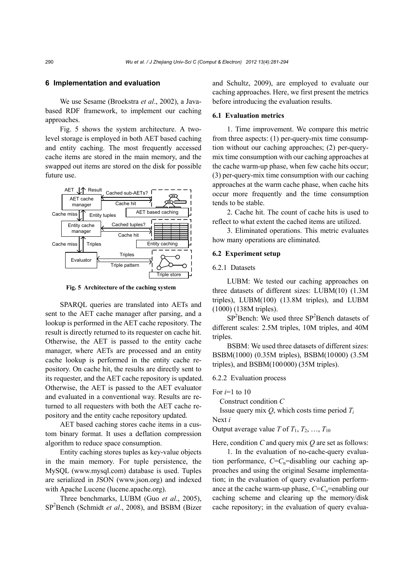#### **6 Implementation and evaluation**

We use Sesame (Broekstra *et al*., 2002), a Javabased RDF framework, to implement our caching approaches.

Fig. 5 shows the system architecture. A twolevel storage is employed in both AET based caching and entity caching. The most frequently accessed cache items are stored in the main memory, and the swapped out items are stored on the disk for possible future use.



**Fig. 5 Architecture of the caching system** 

SPARQL queries are translated into AETs and sent to the AET cache manager after parsing, and a lookup is performed in the AET cache repository. The result is directly returned to its requester on cache hit. Otherwise, the AET is passed to the entity cache manager, where AETs are processed and an entity cache lookup is performed in the entity cache repository. On cache hit, the results are directly sent to its requester, and the AET cache repository is updated. Otherwise, the AET is passed to the AET evaluator and evaluated in a conventional way. Results are returned to all requesters with both the AET cache repository and the entity cache repository updated.

AET based caching stores cache items in a custom binary format. It uses a deflation compression algorithm to reduce space consumption.

Entity caching stores tuples as key-value objects in the main memory. For tuple persistence, the MySQL (www.mysql.com) database is used. Tuples are serialized in JSON (www.json.org) and indexed with Apache Lucene (lucene.apache.org).

Three benchmarks, LUBM (Guo *et al*., 2005), SP<sup>2</sup>Bench (Schmidt *et al.*, 2008), and BSBM (Bizer and Schultz, 2009), are employed to evaluate our caching approaches. Here, we first present the metrics before introducing the evaluation results.

#### **6.1 Evaluation metrics**

1. Time improvement. We compare this metric from three aspects: (1) per-query-mix time consumption without our caching approaches; (2) per-querymix time consumption with our caching approaches at the cache warm-up phase, when few cache hits occur; (3) per-query-mix time consumption with our caching approaches at the warm cache phase, when cache hits occur more frequently and the time consumption tends to be stable.

2. Cache hit. The count of cache hits is used to reflect to what extent the cached items are utilized.

3. Eliminated operations. This metric evaluates how many operations are eliminated.

## **6.2 Experiment setup**

#### 6.2.1 Datasets

LUBM: We tested our caching approaches on three datasets of different sizes: LUBM(10) (1.3M triples), LUBM(100) (13.8M triples), and LUBM (1000) (138M triples).

SP<sup>2</sup>Bench: We used three SP<sup>2</sup>Bench datasets of different scales: 2.5M triples, 10M triples, and 40M triples.

BSBM: We used three datasets of different sizes: BSBM(1000) (0.35M triples), BSBM(10000) (3.5M triples), and  $BSBM(100000)$  (35M triples).

6.2.2 Evaluation process

For  $i=1$  to 10

Construct condition *C*

 Issue query mix *Q*, which costs time period *Ti* Next *i*

Output average value *T* of  $T_1, T_2, ..., T_{10}$ 

Here, condition *C* and query mix *Q* are set as follows:

1. In the evaluation of no-cache-query evaluation performance,  $C=C_n$ =disabling our caching approaches and using the original Sesame implementation; in the evaluation of query evaluation performance at the cache warm-up phase,  $C=C<sub>u</sub>=$  enabling our caching scheme and clearing up the memory/disk cache repository; in the evaluation of query evalua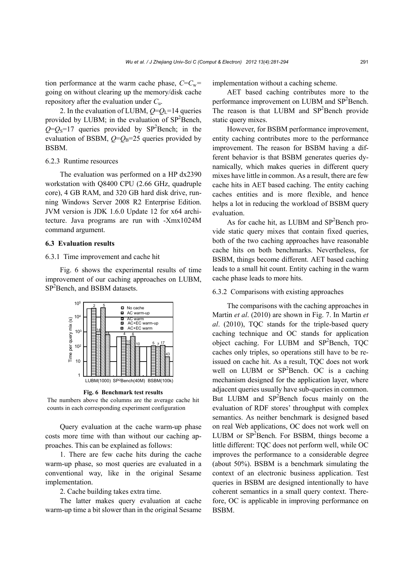tion performance at the warm cache phase,  $C=C_w=$ going on without clearing up the memory/disk cache repository after the evaluation under *C*u.

2. In the evaluation of LUBM,  $Q=Q_1=14$  queries provided by LUBM; in the evaluation of  $SP<sup>2</sup>Bench$ ,  $Q = Q_s = 17$  queries provided by SP<sup>2</sup>Bench; in the evaluation of BSBM,  $Q = Q_B = 25$  queries provided by BSBM.

#### 6.2.3 Runtime resources

The evaluation was performed on a HP dx2390 workstation with Q8400 CPU (2.66 GHz, quadruple core), 4 GB RAM, and 320 GB hard disk drive, running Windows Server 2008 R2 Enterprise Edition. JVM version is JDK 1.6.0 Update 12 for x64 architecture. Java programs are run with -Xmx1024M command argument.

#### **6.3 Evaluation results**

6.3.1 Time improvement and cache hit

Fig. 6 shows the experimental results of time improvement of our caching approaches on LUBM, SP<sup>2</sup>Bench, and BSBM datasets.



**Fig. 6 Benchmark test results** 

The numbers above the columns are the average cache hit counts in each corresponding experiment configuration

Query evaluation at the cache warm-up phase costs more time with than without our caching approaches. This can be explained as follows:

1. There are few cache hits during the cache warm-up phase, so most queries are evaluated in a conventional way, like in the original Sesame implementation.

2. Cache building takes extra time.

The latter makes query evaluation at cache warm-up time a bit slower than in the original Sesame

implementation without a caching scheme.

AET based caching contributes more to the performance improvement on LUBM and SP<sup>2</sup>Bench. The reason is that LUBM and  $SP<sup>2</sup>$ Bench provide static query mixes.

However, for BSBM performance improvement, entity caching contributes more to the performance improvement. The reason for BSBM having a different behavior is that BSBM generates queries dynamically, which makes queries in different query mixes have little in common. As a result, there are few cache hits in AET based caching. The entity caching caches entities and is more flexible, and hence helps a lot in reducing the workload of BSBM query evaluation.

As for cache hit, as  $LUBM$  and  $SP<sup>2</sup>Bench$  provide static query mixes that contain fixed queries, both of the two caching approaches have reasonable cache hits on both benchmarks. Nevertheless, for BSBM, things become different. AET based caching leads to a small hit count. Entity caching in the warm cache phase leads to more hits.

#### 6.3.2 Comparisons with existing approaches

The comparisons with the caching approaches in Martin *et al*. (2010) are shown in Fig. 7. In Martin *et al*. (2010), TQC stands for the triple-based query caching technique and OC stands for application object caching. For LUBM and SP<sup>2</sup>Bench, TQC caches only triples, so operations still have to be reissued on cache hit. As a result, TQC does not work well on LUBM or  $SP<sup>2</sup>$ Bench. OC is a caching mechanism designed for the application layer, where adjacent queries usually have sub-queries in common. But LUBM and SP<sup>2</sup>Bench focus mainly on the evaluation of RDF stores' throughput with complex semantics. As neither benchmark is designed based on real Web applications, OC does not work well on LUBM or  $SP<sup>2</sup>$ Bench. For BSBM, things become a little different: TQC does not perform well, while OC improves the performance to a considerable degree (about 50%). BSBM is a benchmark simulating the context of an electronic business application. Test queries in BSBM are designed intentionally to have coherent semantics in a small query context. Therefore, OC is applicable in improving performance on BSBM.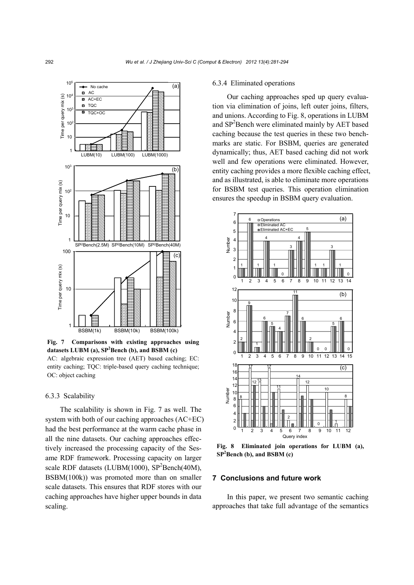

**Fig. 7 Comparisons with existing approaches using**  datasets  $LUBM$  (a),  $SP<sup>2</sup>Bench$  (b), and  $BSBM$  (c) AC: algebraic expression tree (AET) based caching; EC: entity caching; TQC: triple-based query caching technique;

#### 6.3.3 Scalability

OC: object caching

The scalability is shown in Fig. 7 as well. The system with both of our caching approaches (AC+EC) had the best performance at the warm cache phase in all the nine datasets. Our caching approaches effectively increased the processing capacity of the Sesame RDF framework. Processing capacity on larger scale RDF datasets (LUBM $(1000)$ , SP<sup>2</sup>Bench $(40M)$ , BSBM(100k)) was promoted more than on smaller scale datasets. This ensures that RDF stores with our caching approaches have higher upper bounds in data scaling.

# 6.3.4 Eliminated operations

Our caching approaches sped up query evaluation via elimination of joins, left outer joins, filters, and unions. According to Fig. 8, operations in LUBM and  $SP<sup>2</sup>$ Bench were eliminated mainly by AET based caching because the test queries in these two benchmarks are static. For BSBM, queries are generated dynamically; thus, AET based caching did not work well and few operations were eliminated. However, entity caching provides a more flexible caching effect, and as illustrated, is able to eliminate more operations for BSBM test queries. This operation elimination ensures the speedup in BSBM query evaluation.



**Fig. 8 Eliminated join operations for LUBM (a), SP<sup>2</sup> Bench (b), and BSBM (c)** 

# **7 Conclusions and future work**

In this paper, we present two semantic caching approaches that take full advantage of the semantics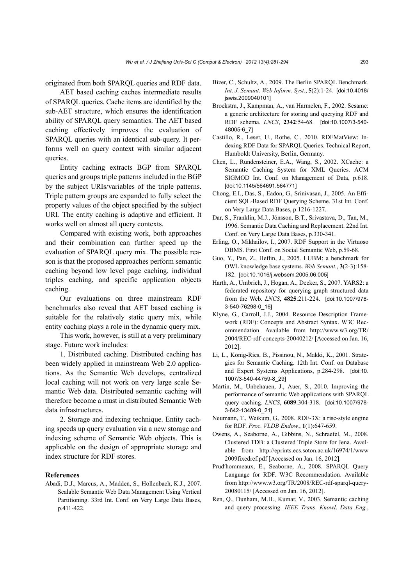originated from both SPARQL queries and RDF data.

AET based caching caches intermediate results of SPARQL queries. Cache items are identified by the sub-AET structure, which ensures the identification ability of SPARQL query semantics. The AET based caching effectively improves the evaluation of SPARQL queries with an identical sub-query. It performs well on query context with similar adjacent queries.

Entity caching extracts BGP from SPARQL queries and groups triple patterns included in the BGP by the subject URIs/variables of the triple patterns. Triple pattern groups are expanded to fully select the property values of the object specified by the subject URI. The entity caching is adaptive and efficient. It works well on almost all query contexts.

Compared with existing work, both approaches and their combination can further speed up the evaluation of SPARQL query mix. The possible reason is that the proposed approaches perform semantic caching beyond low level page caching, individual triples caching, and specific application objects caching.

Our evaluations on three mainstream RDF benchmarks also reveal that AET based caching is suitable for the relatively static query mix, while entity caching plays a role in the dynamic query mix.

This work, however, is still at a very preliminary stage. Future work includes:

1. Distributed caching. Distributed caching has been widely applied in mainstream Web 2.0 applications. As the Semantic Web develops, centralized local caching will not work on very large scale Semantic Web data. Distributed semantic caching will therefore become a must in distributed Semantic Web data infrastructures.

2. Storage and indexing technique. Entity caching speeds up query evaluation via a new storage and indexing scheme of Semantic Web objects. This is applicable on the design of appropriate storage and index structure for RDF stores.

#### **References**

Abadi, D.J., Marcus, A., Madden, S., Hollenbach, K.J., 2007. Scalable Semantic Web Data Management Using Vertical Partitioning. 33rd Int. Conf. on Very Large Data Bases, p.411-422.

- Bizer, C., Schultz, A., 2009. The Berlin SPARQL Benchmark. *Int. J. Semant. Web Inform. Syst.*, **5**(2):1-24. [doi:10.4018/ jswis.2009040101]
- Broekstra, J., Kampman, A., van Harmelen, F., 2002. Sesame: a generic architecture for storing and querying RDF and RDF schema. *LNCS*, **2342**:54-68. [doi:10.1007/3-540- 48005-6\_7]
- Castillo, R., Leser, U., Rothe, C., 2010. RDFMatView: Indexing RDF Data for SPARQL Queries. Technical Report, Humboldt University, Berlin, Germany.
- Chen, L., Rundensteiner, E.A., Wang, S., 2002. XCache: a Semantic Caching System for XML Queries. ACM SIGMOD Int. Conf. on Management of Data, p.618. [doi:10.1145/564691.564771]
- Chong, E.I., Das, S., Eadon, G., Srinivasan, J., 2005. An Efficient SQL-Based RDF Querying Scheme. 31st Int. Conf. on Very Large Data Bases, p.1216-1227.
- Dar, S., Franklin, M.J., Jónsson, B.T., Srivastava, D., Tan, M., 1996. Semantic Data Caching and Replacement. 22nd Int. Conf. on Very Large Data Bases, p.330-341.
- Erling, O., Mikhailov, I., 2007. RDF Support in the Virtuoso DBMS. First Conf. on Social Semantic Web, p.59-68.
- Guo, Y., Pan, Z., Heflin, J., 2005. LUBM: a benchmark for OWL knowledge base systems. *Web Semant.*, **3**(2-3):158- 182. [doi:10.1016/j.websem.2005.06.005]
- Harth, A., Umbrich, J., Hogan, A., Decker, S., 2007. YARS2: a federated repository for querying graph structured data from the Web. *LNCS*, **4825**:211-224. [doi:10.1007/978- 3-540-76298-0\_16]
- Klyne, G., Carroll, J.J., 2004. Resource Description Framework (RDF): Concepts and Abstract Syntax. W3C Recommendation. Available from http://www.w3.org/TR/ 2004/REC-rdf-concepts-20040212/ [Accessed on Jan. 16, 2012].
- Li, L., König-Ries, B., Pissinou, N., Makki, K., 2001. Strategies for Semantic Caching. 12th Int. Conf. on Database and Expert Systems Applications, p.284-298. [doi:10. 1007/3-540-44759-8\_29]
- Martin, M., Unbehauen, J., Auer, S., 2010. Improving the performance of semantic Web applications with SPARQL query caching. *LNCS*, **6089**:304-318. [doi:10.1007/978- 3-642-13489-0\_21]
- Neumann, T., Weikum, G., 2008. RDF-3X: a risc-style engine for RDF. *Proc. VLDB Endow.*, **1**(1):647-659.
- Owens, A., Seaborne, A., Gibbins, N., Schraefel, M., 2008. Clustered TDB: a Clustered Triple Store for Jena. Available from http://eprints.ecs.soton.ac.uk/16974/1/www 2009fixedref.pdf [Accessed on Jan. 16, 2012].
- Prud′hommeaux, E., Seaborne, A., 2008. SPARQL Query Language for RDF. W3C Recommendation. Available from http://www.w3.org/TR/2008/REC-rdf-sparql-query-20080115/ [Accessed on Jan. 16, 2012].
- Ren, Q., Dunham, M.H., Kumar, V., 2003. Semantic caching and query processing. *IEEE Trans*. *Knowl*. *Data Eng*.,